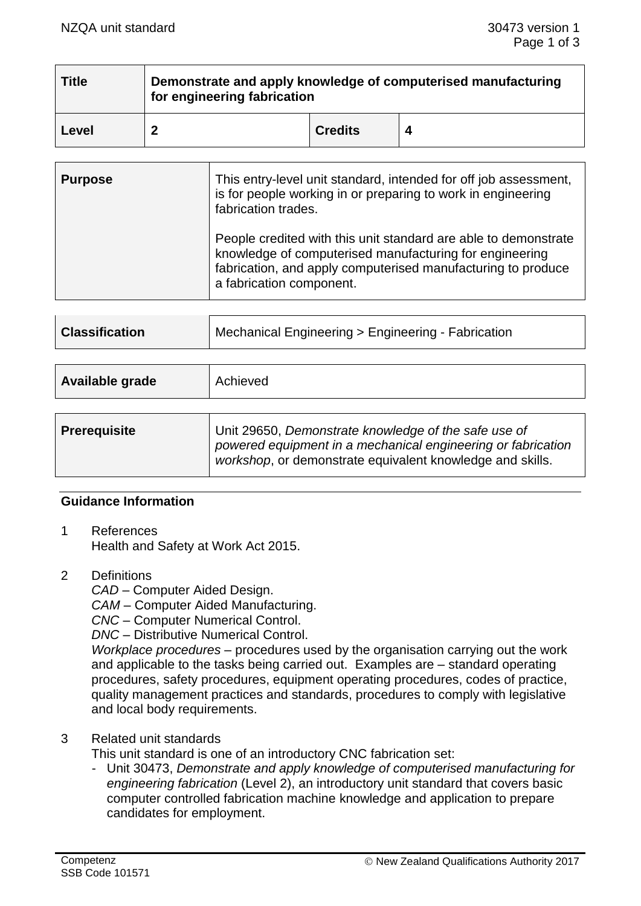| Title | Demonstrate and apply knowledge of computerised manufacturing<br>for engineering fabrication |                |  |
|-------|----------------------------------------------------------------------------------------------|----------------|--|
| Level |                                                                                              | <b>Credits</b> |  |

| <b>Purpose</b> | This entry-level unit standard, intended for off job assessment,<br>is for people working in or preparing to work in engineering<br>fabrication trades.                                                                |
|----------------|------------------------------------------------------------------------------------------------------------------------------------------------------------------------------------------------------------------------|
|                | People credited with this unit standard are able to demonstrate<br>knowledge of computerised manufacturing for engineering<br>fabrication, and apply computerised manufacturing to produce<br>a fabrication component. |

| <b>Classification</b> | Mechanical Engineering > Engineering - Fabrication |
|-----------------------|----------------------------------------------------|
|                       |                                                    |

| Available grade     | Achieved                                                                                                                                                                          |
|---------------------|-----------------------------------------------------------------------------------------------------------------------------------------------------------------------------------|
| <b>Prerequisite</b> | Unit 29650, Demonstrate knowledge of the safe use of<br>powered equipment in a mechanical engineering or fabrication<br>workshop, or demonstrate equivalent knowledge and skills. |

#### **Guidance Information**

- 1 References Health and Safety at Work Act 2015.
- 2 Definitions

*CAD* – Computer Aided Design.

*CAM* – Computer Aided Manufacturing.

- *CNC*  Computer Numerical Control.
- *DNC* Distributive Numerical Control.

*Workplace procedures* – procedures used by the organisation carrying out the work and applicable to the tasks being carried out. Examples are – standard operating procedures, safety procedures, equipment operating procedures, codes of practice, quality management practices and standards, procedures to comply with legislative and local body requirements.

#### 3 Related unit standards

This unit standard is one of an introductory CNC fabrication set:

- Unit 30473, *Demonstrate and apply knowledge of computerised manufacturing for engineering fabrication* (Level 2), an introductory unit standard that covers basic computer controlled fabrication machine knowledge and application to prepare candidates for employment.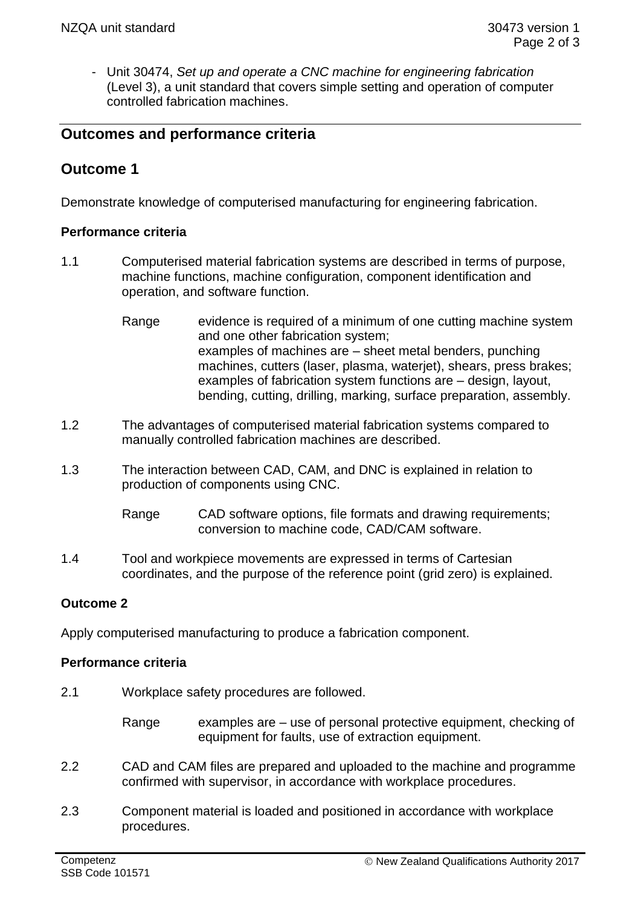- Unit 30474, *Set up and operate a CNC machine for engineering fabrication*  (Level 3), a unit standard that covers simple setting and operation of computer controlled fabrication machines.

## **Outcomes and performance criteria**

# **Outcome 1**

Demonstrate knowledge of computerised manufacturing for engineering fabrication.

#### **Performance criteria**

- 1.1 Computerised material fabrication systems are described in terms of purpose, machine functions, machine configuration, component identification and operation, and software function.
	- Range evidence is required of a minimum of one cutting machine system and one other fabrication system; examples of machines are – sheet metal benders, punching machines, cutters (laser, plasma, waterjet), shears, press brakes; examples of fabrication system functions are – design, layout, bending, cutting, drilling, marking, surface preparation, assembly.
- 1.2 The advantages of computerised material fabrication systems compared to manually controlled fabrication machines are described.
- 1.3 The interaction between CAD, CAM, and DNC is explained in relation to production of components using CNC.
	- Range CAD software options, file formats and drawing requirements; conversion to machine code, CAD/CAM software.
- 1.4 Tool and workpiece movements are expressed in terms of Cartesian coordinates, and the purpose of the reference point (grid zero) is explained.

#### **Outcome 2**

Apply computerised manufacturing to produce a fabrication component.

#### **Performance criteria**

2.1 Workplace safety procedures are followed.

Range examples are – use of personal protective equipment, checking of equipment for faults, use of extraction equipment.

- 2.2 CAD and CAM files are prepared and uploaded to the machine and programme confirmed with supervisor, in accordance with workplace procedures.
- 2.3 Component material is loaded and positioned in accordance with workplace procedures.